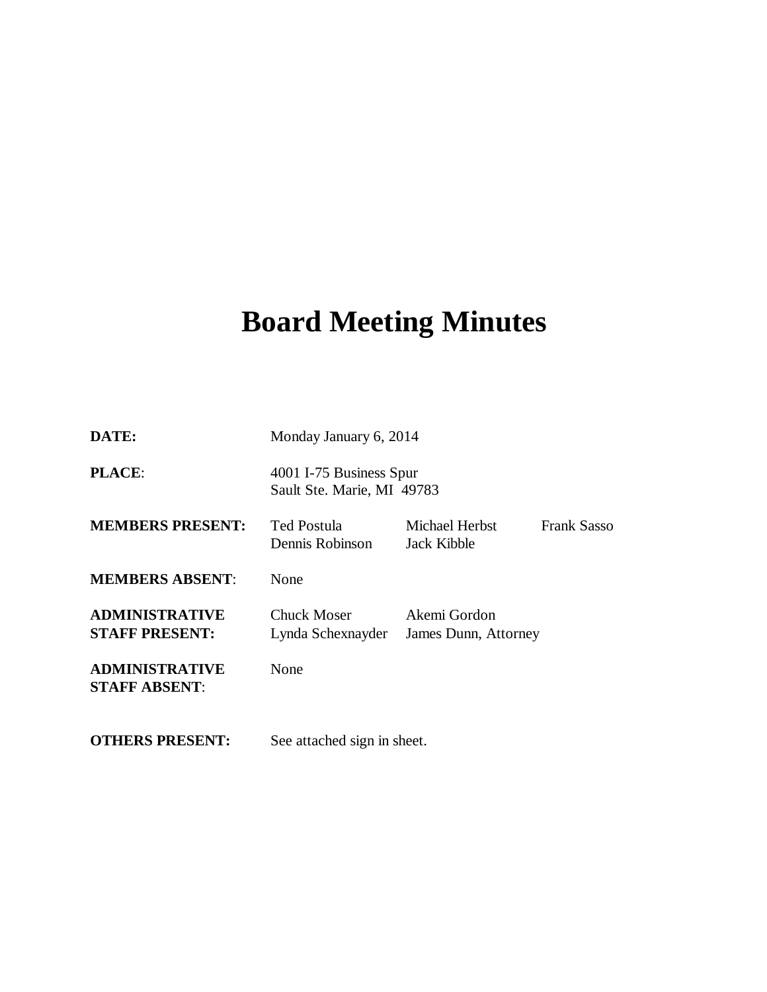# **Board Meeting Minutes**

| DATE:                                          | Monday January 6, 2014                                |                                      |                    |
|------------------------------------------------|-------------------------------------------------------|--------------------------------------|--------------------|
| PLACE:                                         | 4001 I-75 Business Spur<br>Sault Ste. Marie, MI 49783 |                                      |                    |
| <b>MEMBERS PRESENT:</b>                        | <b>Ted Postula</b><br>Dennis Robinson                 | Michael Herbst<br>Jack Kibble        | <b>Frank Sasso</b> |
| <b>MEMBERS ABSENT:</b>                         | None                                                  |                                      |                    |
| <b>ADMINISTRATIVE</b><br><b>STAFF PRESENT:</b> | Chuck Moser<br>Lynda Schexnayder                      | Akemi Gordon<br>James Dunn, Attorney |                    |
| <b>ADMINISTRATIVE</b><br><b>STAFF ABSENT:</b>  | None                                                  |                                      |                    |
| <b>OTHERS PRESENT:</b>                         | See attached sign in sheet.                           |                                      |                    |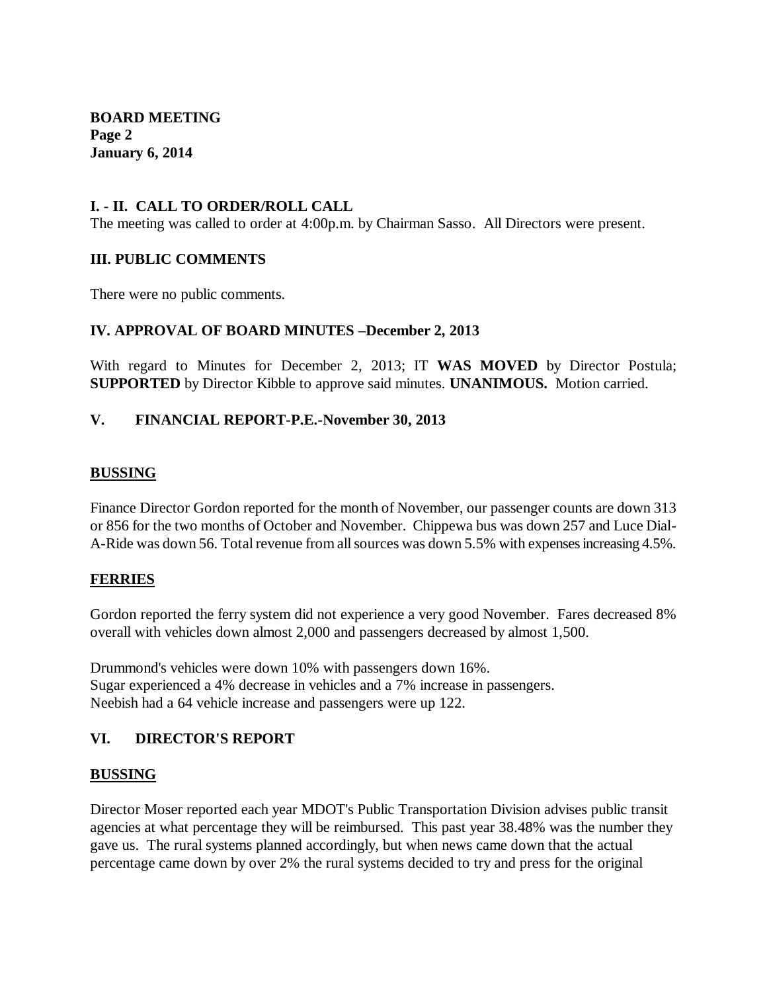**BOARD MEETING Page 2 January 6, 2014**

## **I. - II. CALL TO ORDER/ROLL CALL**

The meeting was called to order at 4:00p.m. by Chairman Sasso. All Directors were present.

### **III. PUBLIC COMMENTS**

There were no public comments.

#### **IV. APPROVAL OF BOARD MINUTES –December 2, 2013**

With regard to Minutes for December 2, 2013; IT **WAS MOVED** by Director Postula; **SUPPORTED** by Director Kibble to approve said minutes. **UNANIMOUS.** Motion carried.

#### **V. FINANCIAL REPORT-P.E.-November 30, 2013**

#### **BUSSING**

Finance Director Gordon reported for the month of November, our passenger counts are down 313 or 856 for the two months of October and November. Chippewa bus was down 257 and Luce Dial-A-Ride was down 56. Total revenue from all sources was down 5.5% with expenses increasing 4.5%.

### **FERRIES**

Gordon reported the ferry system did not experience a very good November. Fares decreased 8% overall with vehicles down almost 2,000 and passengers decreased by almost 1,500.

Drummond's vehicles were down 10% with passengers down 16%. Sugar experienced a 4% decrease in vehicles and a 7% increase in passengers. Neebish had a 64 vehicle increase and passengers were up 122.

### **VI. DIRECTOR'S REPORT**

#### **BUSSING**

Director Moser reported each year MDOT's Public Transportation Division advises public transit agencies at what percentage they will be reimbursed. This past year 38.48% was the number they gave us. The rural systems planned accordingly, but when news came down that the actual percentage came down by over 2% the rural systems decided to try and press for the original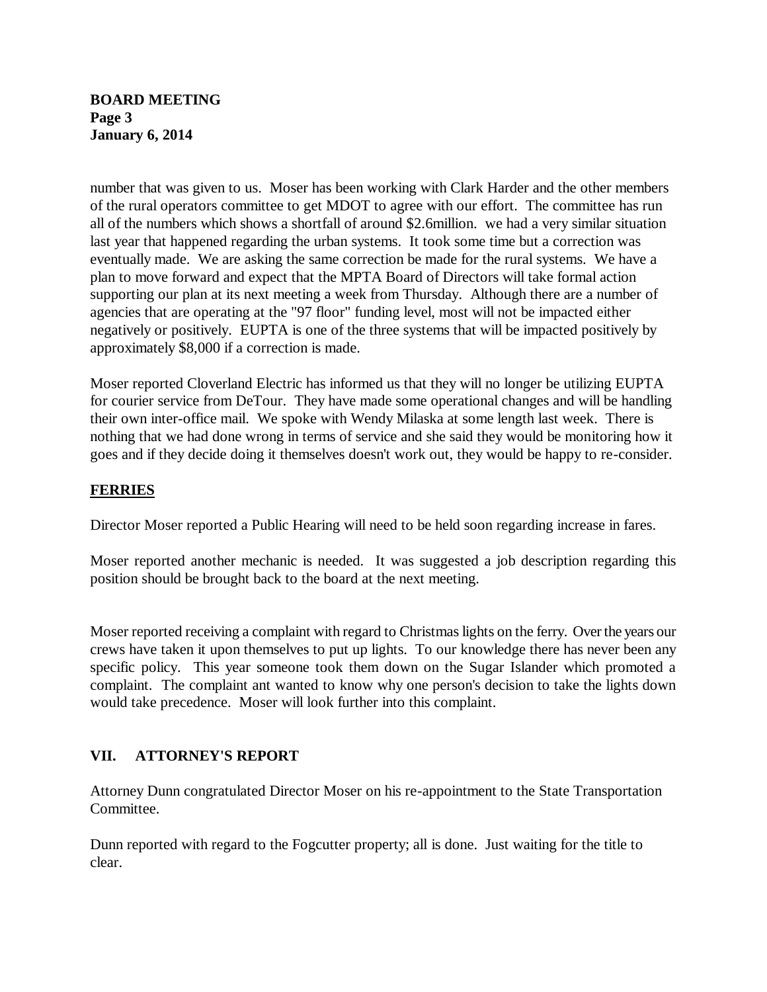## **BOARD MEETING Page 3 January 6, 2014**

number that was given to us. Moser has been working with Clark Harder and the other members of the rural operators committee to get MDOT to agree with our effort. The committee has run all of the numbers which shows a shortfall of around \$2.6million. we had a very similar situation last year that happened regarding the urban systems. It took some time but a correction was eventually made. We are asking the same correction be made for the rural systems. We have a plan to move forward and expect that the MPTA Board of Directors will take formal action supporting our plan at its next meeting a week from Thursday. Although there are a number of agencies that are operating at the "97 floor" funding level, most will not be impacted either negatively or positively. EUPTA is one of the three systems that will be impacted positively by approximately \$8,000 if a correction is made.

Moser reported Cloverland Electric has informed us that they will no longer be utilizing EUPTA for courier service from DeTour. They have made some operational changes and will be handling their own inter-office mail. We spoke with Wendy Milaska at some length last week. There is nothing that we had done wrong in terms of service and she said they would be monitoring how it goes and if they decide doing it themselves doesn't work out, they would be happy to re-consider.

# **FERRIES**

Director Moser reported a Public Hearing will need to be held soon regarding increase in fares.

Moser reported another mechanic is needed. It was suggested a job description regarding this position should be brought back to the board at the next meeting.

Moser reported receiving a complaint with regard to Christmas lights on the ferry. Over the years our crews have taken it upon themselves to put up lights. To our knowledge there has never been any specific policy. This year someone took them down on the Sugar Islander which promoted a complaint. The complaint ant wanted to know why one person's decision to take the lights down would take precedence. Moser will look further into this complaint.

## **VII. ATTORNEY'S REPORT**

Attorney Dunn congratulated Director Moser on his re-appointment to the State Transportation Committee.

Dunn reported with regard to the Fogcutter property; all is done. Just waiting for the title to clear.